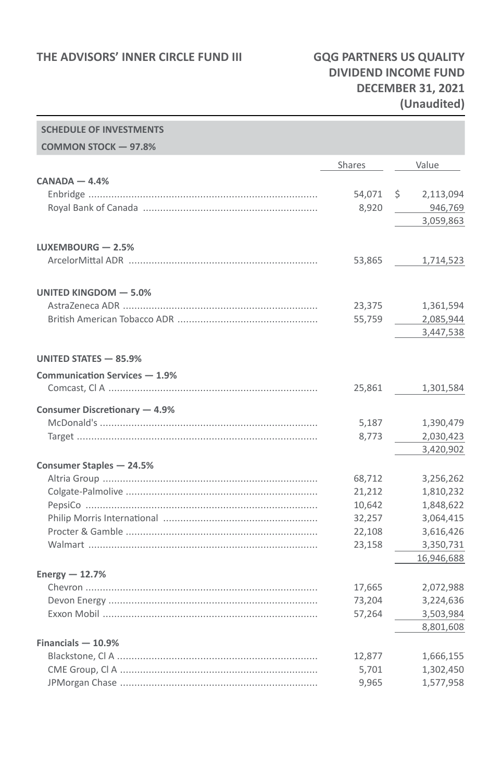#### **THE ADVISORS' INNER CIRCLE FUND III GQG PARTNERS US QUALITY**

## **DIVIDEND INCOME FUND DECEMBER 31, 2021 (Unaudited)**

| <b>SCHEDULE OF INVESTMENTS</b> |                 |                        |
|--------------------------------|-----------------|------------------------|
| COMMON STOCK - 97.8%           |                 |                        |
|                                | Shares          | Value                  |
| $CANADA - 4.4%$                |                 |                        |
|                                | 54,071          | \$<br>2,113,094        |
|                                | 8,920           | 946,769                |
|                                |                 | 3,059,863              |
| LUXEMBOURG - 2.5%              |                 |                        |
|                                | 53,865          | 1,714,523              |
| UNITED KINGDOM - 5.0%          |                 |                        |
|                                | 23,375          | 1,361,594              |
|                                | 55,759          | 2,085,944              |
|                                |                 | 3,447,538              |
| UNITED STATES - 85.9%          |                 |                        |
| Communication Services - 1.9%  |                 |                        |
|                                | 25,861          | 1,301,584              |
| Consumer Discretionary - 4.9%  |                 |                        |
|                                | 5,187           | 1,390,479              |
|                                | 8,773           | 2,030,423              |
|                                |                 | 3,420,902              |
| Consumer Staples - 24.5%       |                 |                        |
|                                | 68,712          | 3,256,262              |
|                                | 21,212          | 1,810,232              |
|                                | 10,642          | 1,848,622              |
|                                | 32,257          | 3,064,415              |
|                                | 22,108          | 3,616,426              |
|                                | 23,158          | 3,350,731              |
|                                |                 | 16,946,688             |
| Energy $-12.7%$                |                 |                        |
|                                | 17,665          | 2,072,988              |
|                                | 73,204          | 3,224,636              |
|                                | 57,264          | 3,503,984              |
|                                |                 | 8,801,608              |
| Financials $-10.9%$            |                 |                        |
|                                | 12,877<br>5,701 | 1,666,155<br>1,302,450 |
|                                | 9,965           | 1,577,958              |
|                                |                 |                        |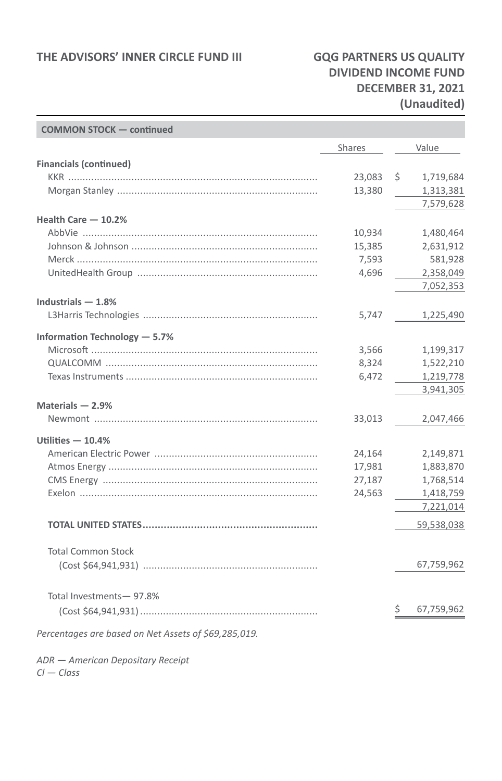### **THE ADVISORS' INNER CIRCLE FUND III GQG PARTNERS US QUALITY**

# **DIVIDEND INCOME FUND DECEMBER 31, 2021 (Unaudited)**

| <b>COMMON STOCK - continued</b>                      |        |                 |
|------------------------------------------------------|--------|-----------------|
|                                                      | Shares | Value           |
| <b>Financials (continued)</b>                        |        |                 |
|                                                      | 23,083 | \$<br>1,719,684 |
|                                                      | 13,380 | 1,313,381       |
|                                                      |        | 7,579,628       |
| Health Care $-10.2%$                                 |        |                 |
|                                                      | 10,934 | 1,480,464       |
|                                                      | 15,385 | 2,631,912       |
|                                                      | 7,593  | 581,928         |
|                                                      | 4,696  | 2,358,049       |
|                                                      |        | 7,052,353       |
| Industrials $-1.8%$                                  |        |                 |
|                                                      | 5,747  | 1,225,490       |
| Information Technology - 5.7%                        |        |                 |
|                                                      | 3,566  | 1,199,317       |
|                                                      | 8,324  | 1,522,210       |
|                                                      | 6,472  | 1,219,778       |
|                                                      |        | 3,941,305       |
| Materials - 2.9%                                     |        |                 |
|                                                      | 33,013 | 2,047,466       |
| Utilities $-10.4%$                                   |        |                 |
|                                                      | 24,164 | 2,149,871       |
|                                                      | 17,981 | 1,883,870       |
|                                                      | 27,187 | 1,768,514       |
|                                                      | 24,563 | 1,418,759       |
|                                                      |        | 7,221,014       |
|                                                      |        | 59,538,038      |
|                                                      |        |                 |
| <b>Total Common Stock</b>                            |        |                 |
|                                                      |        | 67,759,962      |
| Total Investments-97.8%                              |        |                 |
|                                                      |        | 67,759,962      |
| Percentages are based on Net Assets of \$69,285,019. |        |                 |

*ADR — American Depositary Receipt Cl — Class*